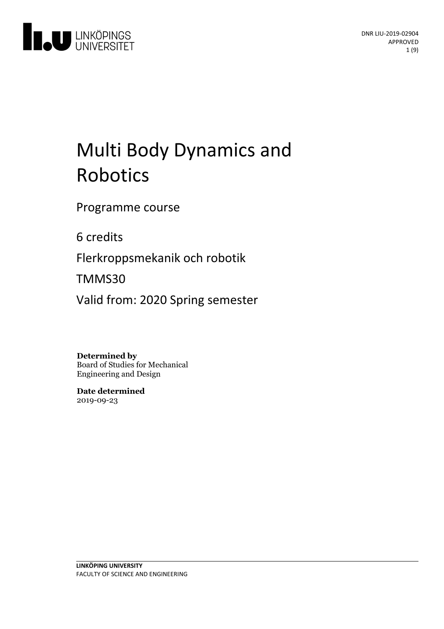

# Multi Body Dynamics and Robotics

Programme course

6 credits

Flerkroppsmekanik och robotik

TMMS30

Valid from: 2020 Spring semester

**Determined by**

Board of Studies for Mechanical Engineering and Design

**Date determined** 2019-09-23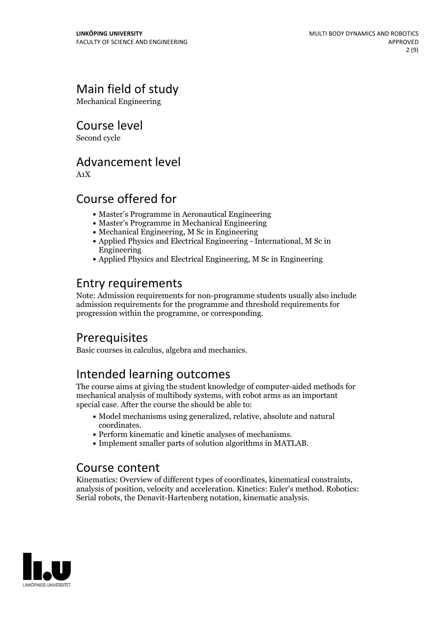# Main field of study

Mechanical Engineering

Course level

Second cycle

### Advancement level

A1X

### Course offered for

- Master's Programme in Aeronautical Engineering
- Master's Programme in Mechanical Engineering
- Mechanical Engineering, M Sc in Engineering
- Applied Physics and Electrical Engineering International, M Sc in Engineering
- Applied Physics and Electrical Engineering, M Sc in Engineering

# Entry requirements

Note: Admission requirements for non-programme students usually also include admission requirements for the programme and threshold requirements for progression within the programme, or corresponding.

# Prerequisites

Basic courses in calculus, algebra and mechanics.

# Intended learning outcomes

The course aims at giving the student knowledge of computer-aided methods for mechanical analysis of multibody systems, with robot arms as an important special case. After the course the should be able to:

- Model mechanisms using generalized, relative, absolute and natural
- coordinates.<br>• Perform kinematic and kinetic analyses of mechanisms.<br>• Implement smaller parts of solution algorithms in MATLAB.
- 

### Course content

Kinematics: Overview of different types of coordinates, kinematical constraints, analysis of position, velocity and acceleration. Kinetics: Euler's method. Robotics: Serial robots, the Denavit-Hartenberg notation, kinematic analysis.

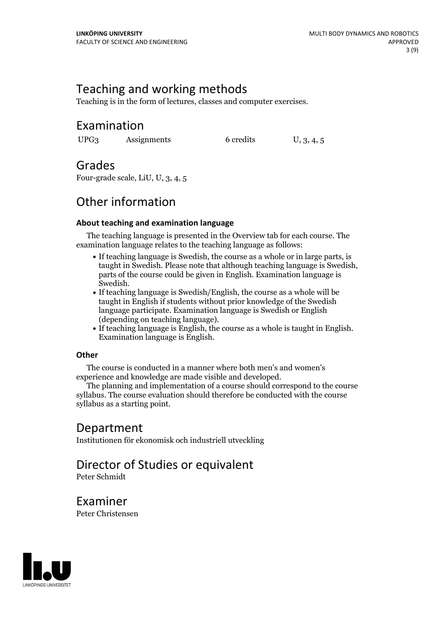# Teaching and working methods

Teaching is in the form of lectures, classes and computer exercises.

### Examination

UPG3 Assignments 6 credits U, 3, 4, 5

### Grades

Four-grade scale, LiU, U, 3, 4, 5

# Other information

#### **About teaching and examination language**

The teaching language is presented in the Overview tab for each course. The examination language relates to the teaching language as follows:

- If teaching language is Swedish, the course as a whole or in large parts, is taught in Swedish. Please note that although teaching language is Swedish, parts of the course could be given in English. Examination language is
- Swedish.<br>• If teaching language is Swedish/English, the course as a whole will be taught in English if students without prior knowledge of the Swedish language participate. Examination language is Swedish or English
- (depending on teaching language).<br>• If teaching language is English, the course as a whole is taught in English.<br>Examination language is English.

#### **Other**

The course is conducted in a manner where both men's and women's

experience and knowledge are made visible and developed. The planning and implementation of <sup>a</sup> course should correspond to the course syllabus. The course evaluation should therefore be conducted with the course syllabus as a starting point.

### Department

Institutionen för ekonomisk och industriell utveckling

# Director of Studies or equivalent

Peter Schmidt

Examiner

Peter Christensen

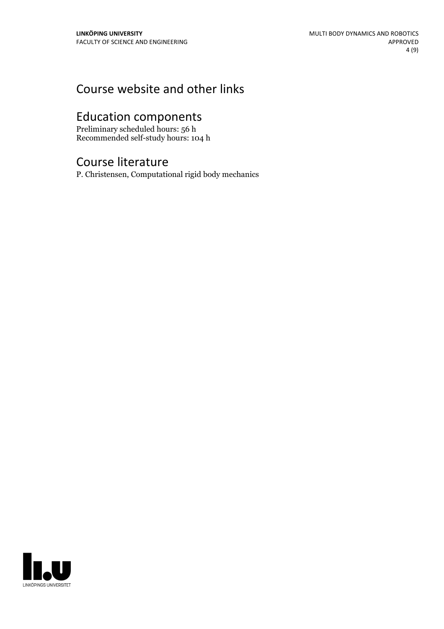# Course website and other links

# Education components

Preliminary scheduled hours: 56 h Recommended self-study hours: 104 h

### Course literature

P. Christensen, Computational rigid body mechanics

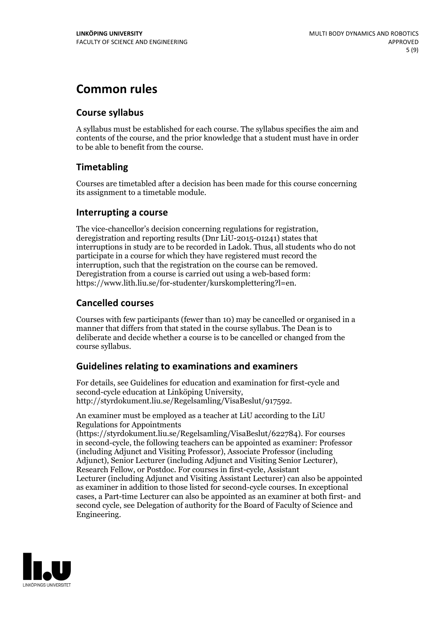# **Common rules**

#### **Course syllabus**

A syllabus must be established for each course. The syllabus specifies the aim and contents of the course, and the prior knowledge that a student must have in order to be able to benefit from the course.

### **Timetabling**

Courses are timetabled after a decision has been made for this course concerning its assignment to a timetable module.

#### **Interrupting a course**

The vice-chancellor's decision concerning regulations for registration, deregistration and reporting results (Dnr LiU-2015-01241) states that interruptions in study are to be recorded in Ladok. Thus, all students who do not participate in a course for which they have registered must record the interruption, such that the registration on the course can be removed. Deregistration from <sup>a</sup> course is carried outusing <sup>a</sup> web-based form: https://www.lith.liu.se/for-studenter/kurskomplettering?l=en.

### **Cancelled courses**

Courses with few participants (fewer than 10) may be cancelled or organised in a manner that differs from that stated in the course syllabus. The Dean is to deliberate and decide whether a course is to be cancelled or changed from the course syllabus.

### **Guidelines relatingto examinations and examiners**

For details, see Guidelines for education and examination for first-cycle and second-cycle education at Linköping University, http://styrdokument.liu.se/Regelsamling/VisaBeslut/917592.

An examiner must be employed as a teacher at LiU according to the LiU Regulations for Appointments

(https://styrdokument.liu.se/Regelsamling/VisaBeslut/622784). For courses in second-cycle, the following teachers can be appointed as examiner: Professor (including Adjunct and Visiting Professor), Associate Professor (including Adjunct), Senior Lecturer (including Adjunct and Visiting Senior Lecturer), Research Fellow, or Postdoc. For courses in first-cycle, Assistant Lecturer (including Adjunct and Visiting Assistant Lecturer) can also be appointed as examiner in addition to those listed for second-cycle courses. In exceptional cases, a Part-time Lecturer can also be appointed as an examiner at both first- and second cycle, see Delegation of authority for the Board of Faculty of Science and Engineering.

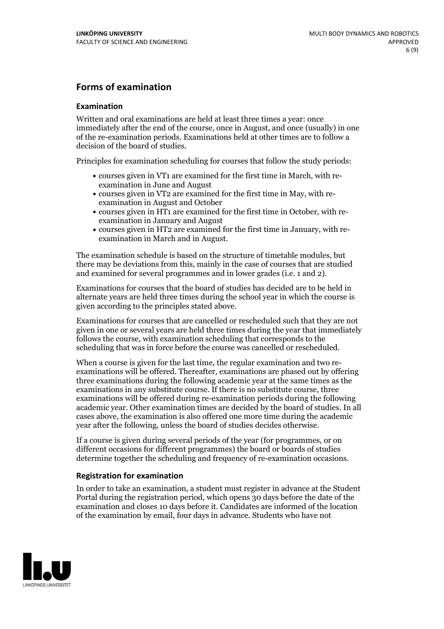#### **Forms of examination**

#### **Examination**

Written and oral examinations are held at least three times a year: once immediately after the end of the course, once in August, and once (usually) in one of the re-examination periods. Examinations held at other times are to follow a decision of the board of studies.

Principles for examination scheduling for courses that follow the study periods:

- courses given in VT1 are examined for the first time in March, with re-examination in June and August
- courses given in VT2 are examined for the first time in May, with re-examination in August and October
- courses given in HT1 are examined for the first time in October, with re-examination in January and August
- courses given in HT2 are examined for the first time in January, with re-examination in March and in August.

The examination schedule is based on the structure of timetable modules, but there may be deviations from this, mainly in the case of courses that are studied and examined for several programmes and in lower grades (i.e. 1 and 2).

Examinations for courses that the board of studies has decided are to be held in alternate years are held three times during the school year in which the course is given according to the principles stated above.

Examinations for courses that are cancelled orrescheduled such that they are not given in one or several years are held three times during the year that immediately follows the course, with examination scheduling that corresponds to the scheduling that was in force before the course was cancelled or rescheduled.

When a course is given for the last time, the regular examination and two re-<br>examinations will be offered. Thereafter, examinations are phased out by offering three examinations during the following academic year at the same times as the examinations in any substitute course. If there is no substitute course, three examinations will be offered during re-examination periods during the following academic year. Other examination times are decided by the board of studies. In all cases above, the examination is also offered one more time during the academic year after the following, unless the board of studies decides otherwise.

If a course is given during several periods of the year (for programmes, or on different occasions for different programmes) the board or boards of studies determine together the scheduling and frequency of re-examination occasions.

#### **Registration for examination**

In order to take an examination, a student must register in advance at the Student Portal during the registration period, which opens 30 days before the date of the examination and closes 10 days before it. Candidates are informed of the location of the examination by email, four days in advance. Students who have not

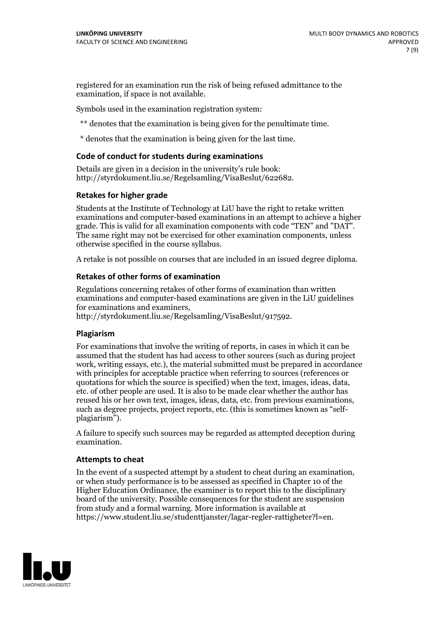registered for an examination run the risk of being refused admittance to the examination, if space is not available.

Symbols used in the examination registration system:

\*\* denotes that the examination is being given for the penultimate time.

\* denotes that the examination is being given for the last time.

#### **Code of conduct for students during examinations**

Details are given in a decision in the university's rule book: http://styrdokument.liu.se/Regelsamling/VisaBeslut/622682.

#### **Retakes for higher grade**

Students at the Institute of Technology at LiU have the right to retake written examinations and computer-based examinations in an attempt to achieve a higher grade. This is valid for all examination components with code "TEN" and "DAT". The same right may not be exercised for other examination components, unless otherwise specified in the course syllabus.

A retake is not possible on courses that are included in an issued degree diploma.

#### **Retakes of other forms of examination**

Regulations concerning retakes of other forms of examination than written examinations and computer-based examinations are given in the LiU guidelines

http://styrdokument.liu.se/Regelsamling/VisaBeslut/917592.

#### **Plagiarism**

For examinations that involve the writing of reports, in cases in which it can be assumed that the student has had access to other sources (such as during project work, writing essays, etc.), the material submitted must be prepared in accordance with principles for acceptable practice when referring to sources (references or quotations for which the source is specified) when the text, images, ideas, data,  $\vec{e}$  etc. of other people are used. It is also to be made clear whether the author has reused his or her own text, images, ideas, data, etc. from previous examinations, such as degree projects, project reports, etc. (this is sometimes known as "self- plagiarism").

A failure to specify such sources may be regarded as attempted deception during examination.

#### **Attempts to cheat**

In the event of <sup>a</sup> suspected attempt by <sup>a</sup> student to cheat during an examination, or when study performance is to be assessed as specified in Chapter <sup>10</sup> of the Higher Education Ordinance, the examiner is to report this to the disciplinary board of the university. Possible consequences for the student are suspension from study and a formal warning. More information is available at https://www.student.liu.se/studenttjanster/lagar-regler-rattigheter?l=en.

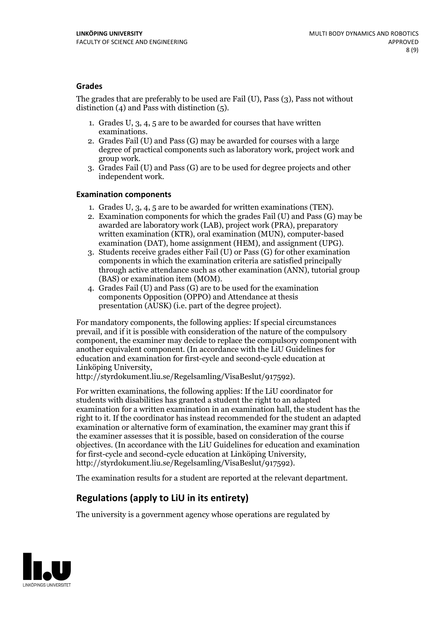#### **Grades**

The grades that are preferably to be used are Fail (U), Pass (3), Pass not without distinction  $(4)$  and Pass with distinction  $(5)$ .

- 1. Grades U, 3, 4, 5 are to be awarded for courses that have written
- examinations. 2. Grades Fail (U) and Pass (G) may be awarded for courses with <sup>a</sup> large degree of practical components such as laboratory work, project work and group work. 3. Grades Fail (U) and Pass (G) are to be used for degree projects and other
- independent work.

#### **Examination components**

- 
- 1. Grades U, 3, 4, <sup>5</sup> are to be awarded for written examinations (TEN). 2. Examination components for which the grades Fail (U) and Pass (G) may be awarded are laboratory work (LAB), project work (PRA), preparatory written examination (KTR), oral examination (MUN), computer-based
- examination (DAT), home assignment (HEM), and assignment (UPG). 3. Students receive grades either Fail (U) or Pass (G) for other examination components in which the examination criteria are satisfied principally through active attendance such as other examination (ANN), tutorial group
- (BAS) or examination item (MOM). 4. Grades Fail (U) and Pass (G) are to be used for the examination components Opposition (OPPO) and Attendance at thesis presentation (AUSK) (i.e. part of the degree project).

For mandatory components, the following applies: If special circumstances prevail, and if it is possible with consideration of the nature of the compulsory component, the examiner may decide to replace the compulsory component with another equivalent component. (In accordance with the LiU Guidelines for education and examination for first-cycle and second-cycle education at Linköping University, http://styrdokument.liu.se/Regelsamling/VisaBeslut/917592).

For written examinations, the following applies: If the LiU coordinator for students with disabilities has granted a student the right to an adapted examination for a written examination in an examination hall, the student has the right to it. If the coordinator has instead recommended for the student an adapted examination or alternative form of examination, the examiner may grant this if the examiner assesses that it is possible, based on consideration of the course objectives. (In accordance with the LiU Guidelines for education and examination for first-cycle and second-cycle education at Linköping University, http://styrdokument.liu.se/Regelsamling/VisaBeslut/917592).

The examination results for a student are reported at the relevant department.

### **Regulations (applyto LiU in its entirety)**

The university is a government agency whose operations are regulated by